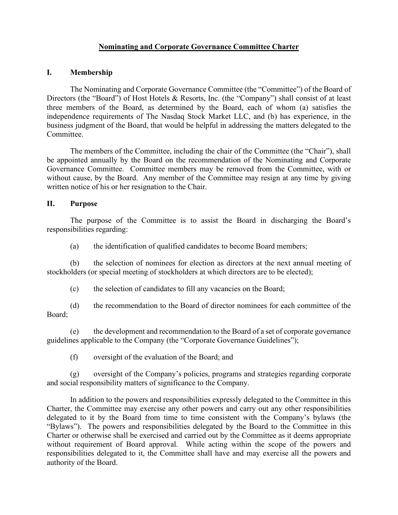# **Nominating and Corporate Governance Committee Charter**

## **I. Membership**

The Nominating and Corporate Governance Committee (the "Committee") of the Board of Directors (the "Board") of Host Hotels & Resorts, Inc. (the "Company") shall consist of at least three members of the Board, as determined by the Board, each of whom (a) satisfies the independence requirements of The Nasdaq Stock Market LLC, and (b) has experience, in the business judgment of the Board, that would be helpful in addressing the matters delegated to the Committee.

The members of the Committee, including the chair of the Committee (the "Chair"), shall be appointed annually by the Board on the recommendation of the Nominating and Corporate Governance Committee. Committee members may be removed from the Committee, with or without cause, by the Board. Any member of the Committee may resign at any time by giving written notice of his or her resignation to the Chair.

## **II. Purpose**

The purpose of the Committee is to assist the Board in discharging the Board's responsibilities regarding:

(a) the identification of qualified candidates to become Board members;

(b) the selection of nominees for election as directors at the next annual meeting of stockholders (or special meeting of stockholders at which directors are to be elected);

(c) the selection of candidates to fill any vacancies on the Board;

(d) the recommendation to the Board of director nominees for each committee of the Board;

(e) the development and recommendation to the Board of a set of corporate governance guidelines applicable to the Company (the "Corporate Governance Guidelines");

(f) oversight of the evaluation of the Board; and

(g) oversight of the Company's policies, programs and strategies regarding corporate and social responsibility matters of significance to the Company.

In addition to the powers and responsibilities expressly delegated to the Committee in this Charter, the Committee may exercise any other powers and carry out any other responsibilities delegated to it by the Board from time to time consistent with the Company's bylaws (the "Bylaws"). The powers and responsibilities delegated by the Board to the Committee in this Charter or otherwise shall be exercised and carried out by the Committee as it deems appropriate without requirement of Board approval. While acting within the scope of the powers and responsibilities delegated to it, the Committee shall have and may exercise all the powers and authority of the Board.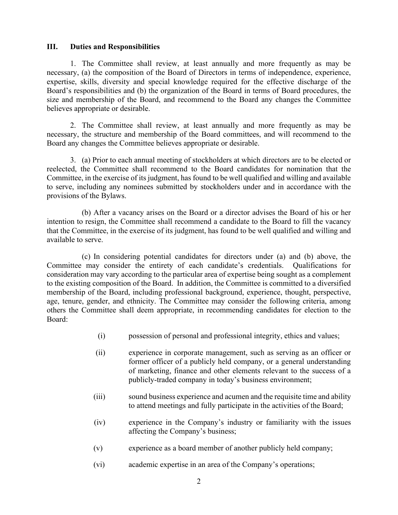#### **III. Duties and Responsibilities**

1. The Committee shall review, at least annually and more frequently as may be necessary, (a) the composition of the Board of Directors in terms of independence, experience, expertise, skills, diversity and special knowledge required for the effective discharge of the Board's responsibilities and (b) the organization of the Board in terms of Board procedures, the size and membership of the Board, and recommend to the Board any changes the Committee believes appropriate or desirable.

2. The Committee shall review, at least annually and more frequently as may be necessary, the structure and membership of the Board committees, and will recommend to the Board any changes the Committee believes appropriate or desirable.

3. (a) Prior to each annual meeting of stockholders at which directors are to be elected or reelected, the Committee shall recommend to the Board candidates for nomination that the Committee, in the exercise of its judgment, has found to be well qualified and willing and available to serve, including any nominees submitted by stockholders under and in accordance with the provisions of the Bylaws.

(b) After a vacancy arises on the Board or a director advises the Board of his or her intention to resign, the Committee shall recommend a candidate to the Board to fill the vacancy that the Committee, in the exercise of its judgment, has found to be well qualified and willing and available to serve.

(c) In considering potential candidates for directors under (a) and (b) above, the Committee may consider the entirety of each candidate's credentials. Qualifications for consideration may vary according to the particular area of expertise being sought as a complement to the existing composition of the Board. In addition, the Committee is committed to a diversified membership of the Board, including professional background, experience, thought, perspective, age, tenure, gender, and ethnicity. The Committee may consider the following criteria, among others the Committee shall deem appropriate, in recommending candidates for election to the Board:

- (i) possession of personal and professional integrity, ethics and values;
- (ii) experience in corporate management, such as serving as an officer or former officer of a publicly held company, or a general understanding of marketing, finance and other elements relevant to the success of a publicly-traded company in today's business environment;
- (iii) sound business experience and acumen and the requisite time and ability to attend meetings and fully participate in the activities of the Board;
- (iv) experience in the Company's industry or familiarity with the issues affecting the Company's business;
- (v) experience as a board member of another publicly held company;
- (vi) academic expertise in an area of the Company's operations;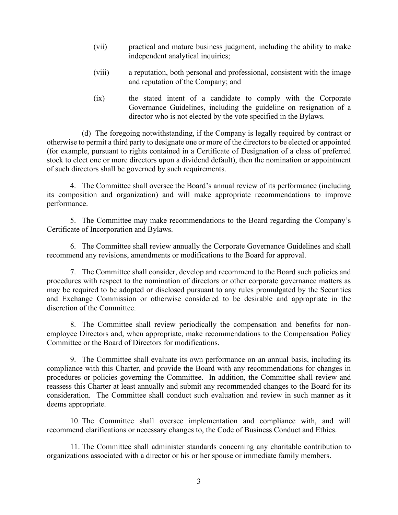- (vii) practical and mature business judgment, including the ability to make independent analytical inquiries;
- (viii) a reputation, both personal and professional, consistent with the image and reputation of the Company; and
- (ix) the stated intent of a candidate to comply with the Corporate Governance Guidelines, including the guideline on resignation of a director who is not elected by the vote specified in the Bylaws.

(d) The foregoing notwithstanding, if the Company is legally required by contract or otherwise to permit a third party to designate one or more of the directors to be elected or appointed (for example, pursuant to rights contained in a Certificate of Designation of a class of preferred stock to elect one or more directors upon a dividend default), then the nomination or appointment of such directors shall be governed by such requirements.

4. The Committee shall oversee the Board's annual review of its performance (including its composition and organization) and will make appropriate recommendations to improve performance.

5. The Committee may make recommendations to the Board regarding the Company's Certificate of Incorporation and Bylaws.

6. The Committee shall review annually the Corporate Governance Guidelines and shall recommend any revisions, amendments or modifications to the Board for approval.

7. The Committee shall consider, develop and recommend to the Board such policies and procedures with respect to the nomination of directors or other corporate governance matters as may be required to be adopted or disclosed pursuant to any rules promulgated by the Securities and Exchange Commission or otherwise considered to be desirable and appropriate in the discretion of the Committee.

8. The Committee shall review periodically the compensation and benefits for nonemployee Directors and, when appropriate, make recommendations to the Compensation Policy Committee or the Board of Directors for modifications.

9. The Committee shall evaluate its own performance on an annual basis, including its compliance with this Charter, and provide the Board with any recommendations for changes in procedures or policies governing the Committee. In addition, the Committee shall review and reassess this Charter at least annually and submit any recommended changes to the Board for its consideration. The Committee shall conduct such evaluation and review in such manner as it deems appropriate.

10. The Committee shall oversee implementation and compliance with, and will recommend clarifications or necessary changes to, the Code of Business Conduct and Ethics.

11. The Committee shall administer standards concerning any charitable contribution to organizations associated with a director or his or her spouse or immediate family members.